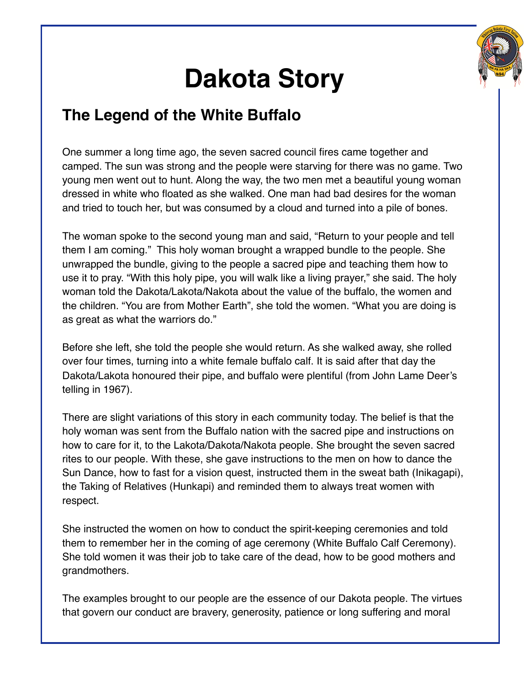

## **Dakota Story**

## **The Legend of the White Buffalo**

One summer a long time ago, the seven sacred council fires came together and camped. The sun was strong and the people were starving for there was no game. Two young men went out to hunt. Along the way, the two men met a beautiful young woman dressed in white who floated as she walked. One man had bad desires for the woman and tried to touch her, but was consumed by a cloud and turned into a pile of bones.

The woman spoke to the second young man and said, "Return to your people and tell them I am coming." This holy woman brought a wrapped bundle to the people. She unwrapped the bundle, giving to the people a sacred pipe and teaching them how to use it to pray. "With this holy pipe, you will walk like a living prayer," she said. The holy woman told the Dakota/Lakota/Nakota about the value of the buffalo, the women and the children. "You are from Mother Earth", she told the women. "What you are doing is as great as what the warriors do."

Before she left, she told the people she would return. As she walked away, she rolled over four times, turning into a white female buffalo calf. It is said after that day the Dakota/Lakota honoured their pipe, and buffalo were plentiful (from John Lame Deer's telling in 1967).

There are slight variations of this story in each community today. The belief is that the holy woman was sent from the Buffalo nation with the sacred pipe and instructions on how to care for it, to the Lakota/Dakota/Nakota people. She brought the seven sacred rites to our people. With these, she gave instructions to the men on how to dance the Sun Dance, how to fast for a vision quest, instructed them in the sweat bath (Inikagapi), the Taking of Relatives (Hunkapi) and reminded them to always treat women with respect.

She instructed the women on how to conduct the spirit-keeping ceremonies and told them to remember her in the coming of age ceremony (White Buffalo Calf Ceremony). She told women it was their job to take care of the dead, how to be good mothers and grandmothers.

The examples brought to our people are the essence of our Dakota people. The virtues that govern our conduct are bravery, generosity, patience or long suffering and moral